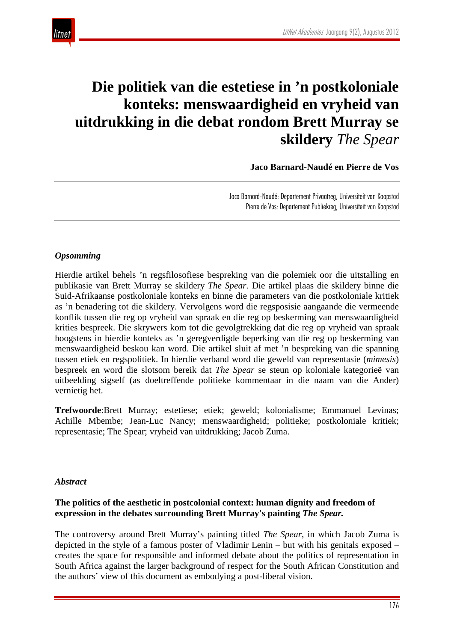

# **Die politiek van die estetiese in 'n postkoloniale konteks: menswaardigheid en vryheid van uitdrukking in die debat rondom Brett Murray se skildery** *The Spear*

 **Jaco Barnard-Naudé en Pierre de Vos**

Jaco Barnard-Naudé: Departement Privaatreg, Universiteit van Kaapstad Pierre de Vos: Departement Publiekreg, Universiteit van Kaapstad

#### *Opsomming*

Hierdie artikel behels 'n regsfilosofiese bespreking van die polemiek oor die uitstalling en publikasie van Brett Murray se skildery *The Spear.* Die artikel plaas die skildery binne die Suid-Afrikaanse postkoloniale konteks en binne die parameters van die postkoloniale kritiek as 'n benadering tot die skildery. Vervolgens word die regsposisie aangaande die vermeende konflik tussen die reg op vryheid van spraak en die reg op beskerming van menswaardigheid krities bespreek. Die skrywers kom tot die gevolgtrekking dat die reg op vryheid van spraak hoogstens in hierdie konteks as 'n geregverdigde beperking van die reg op beskerming van menswaardigheid beskou kan word. Die artikel sluit af met 'n bespreking van die spanning tussen etiek en regspolitiek. In hierdie verband word die geweld van representasie (*mimesis*) bespreek en word die slotsom bereik dat *The Spear* se steun op koloniale kategorieë van uitbeelding sigself (as doeltreffende politieke kommentaar in die naam van die Ander) vernietig het.

**Trefwoorde**:Brett Murray; estetiese; etiek; geweld; kolonialisme; Emmanuel Levinas; Achille Mbembe; Jean-Luc Nancy; menswaardigheid; politieke; postkoloniale kritiek; representasie; The Spear; vryheid van uitdrukking; Jacob Zuma.

#### *Abstract*

#### **The politics of the aesthetic in postcolonial context: human dignity and freedom of expression in the debates surrounding Brett Murray's painting** *The Spear.*

The controversy around Brett Murray's painting titled *The Spear*, in which Jacob Zuma is depicted in the style of a famous poster of Vladimir Lenin – but with his genitals exposed – creates the space for responsible and informed debate about the politics of representation in South Africa against the larger background of respect for the South African Constitution and the authors' view of this document as embodying a post-liberal vision.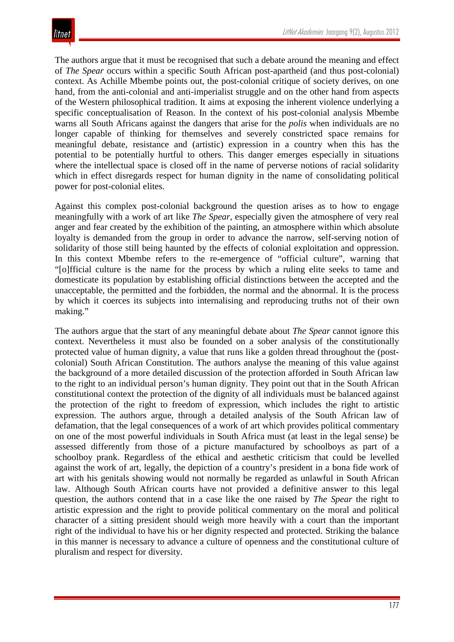The authors argue that it must be recognised that such a debate around the meaning and effect of *The Spear* occurs within a specific South African post-apartheid (and thus post-colonial) context. As Achille Mbembe points out, the post-colonial critique of society derives, on one hand, from the anti-colonial and anti-imperialist struggle and on the other hand from aspects of the Western philosophical tradition. It aims at exposing the inherent violence underlying a specific conceptualisation of Reason. In the context of his post-colonial analysis Mbembe warns all South Africans against the dangers that arise for the *polis* when individuals are no longer capable of thinking for themselves and severely constricted space remains for meaningful debate, resistance and (artistic) expression in a country when this has the potential to be potentially hurtful to others. This danger emerges especially in situations where the intellectual space is closed off in the name of perverse notions of racial solidarity which in effect disregards respect for human dignity in the name of consolidating political power for post-colonial elites.

Against this complex post-colonial background the question arises as to how to engage meaningfully with a work of art like *The Spear*, especially given the atmosphere of very real anger and fear created by the exhibition of the painting, an atmosphere within which absolute loyalty is demanded from the group in order to advance the narrow, self-serving notion of solidarity of those still being haunted by the effects of colonial exploitation and oppression. In this context Mbembe refers to the re-emergence of "official culture", warning that "[o]fficial culture is the name for the process by which a ruling elite seeks to tame and domesticate its population by establishing official distinctions between the accepted and the unacceptable, the permitted and the forbidden, the normal and the abnormal. It is the process by which it coerces its subjects into internalising and reproducing truths not of their own making."

The authors argue that the start of any meaningful debate about *The Spear* cannot ignore this context. Nevertheless it must also be founded on a sober analysis of the constitutionally protected value of human dignity, a value that runs like a golden thread throughout the (postcolonial) South African Constitution. The authors analyse the meaning of this value against the background of a more detailed discussion of the protection afforded in South African law to the right to an individual person's human dignity. They point out that in the South African constitutional context the protection of the dignity of all individuals must be balanced against the protection of the right to freedom of expression, which includes the right to artistic expression. The authors argue, through a detailed analysis of the South African law of defamation, that the legal consequences of a work of art which provides political commentary on one of the most powerful individuals in South Africa must (at least in the legal sense) be assessed differently from those of a picture manufactured by schoolboys as part of a schoolboy prank. Regardless of the ethical and aesthetic criticism that could be levelled against the work of art, legally, the depiction of a country's president in a bona fide work of art with his genitals showing would not normally be regarded as unlawful in South African law. Although South African courts have not provided a definitive answer to this legal question, the authors contend that in a case like the one raised by *The Spear* the right to artistic expression and the right to provide political commentary on the moral and political character of a sitting president should weigh more heavily with a court than the important right of the individual to have his or her dignity respected and protected. Striking the balance in this manner is necessary to advance a culture of openness and the constitutional culture of pluralism and respect for diversity.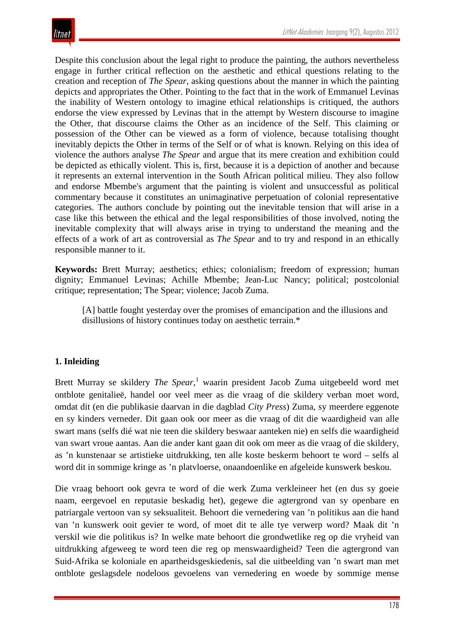Despite this conclusion about the legal right to produce the painting, the authors nevertheless engage in further critical reflection on the aesthetic and ethical questions relating to the creation and reception of *The Spear*, asking questions about the manner in which the painting depicts and appropriates the Other. Pointing to the fact that in the work of Emmanuel Levinas the inability of Western ontology to imagine ethical relationships is critiqued, the authors endorse the view expressed by Levinas that in the attempt by Western discourse to imagine the Other, that discourse claims the Other as an incidence of the Self. This claiming or possession of the Other can be viewed as a form of violence, because totalising thought inevitably depicts the Other in terms of the Self or of what is known. Relying on this idea of violence the authors analyse *The Spear* and argue that its mere creation and exhibition could be depicted as ethically violent. This is, first, because it is a depiction of another and because it represents an external intervention in the South African political milieu. They also follow and endorse Mbembe's argument that the painting is violent and unsuccessful as political commentary because it constitutes an unimaginative perpetuation of colonial representative categories. The authors conclude by pointing out the inevitable tension that will arise in a case like this between the ethical and the legal responsibilities of those involved, noting the inevitable complexity that will always arise in trying to understand the meaning and the effects of a work of art as controversial as *The Spear* and to try and respond in an ethically responsible manner to it.

**Keywords:** Brett Murray; aesthetics; ethics; colonialism; freedom of expression; human dignity; Emmanuel Levinas; Achille Mbembe; Jean-Luc Nancy; political; postcolonial critique; representation; The Spear; violence; Jacob Zuma.

[A] battle fought yesterday over the promises of emancipation and the illusions and disillusions of history continues today on aesthetic terrain.\*

# **1. Inleiding**

Brett Murray se skildery *The Spear*, <sup>1</sup> waarin president Jacob Zuma uitgebeeld word met ontblote genitalieë, handel oor veel meer as die vraag of die skildery verban moet word, omdat dit (en die publikasie daarvan in die dagblad *City Press*) Zuma, sy meerdere eggenote en sy kinders verneder. Dit gaan ook oor meer as die vraag of dit die waardigheid van alle swart mans (selfs dié wat nie teen die skildery beswaar aanteken nie) en selfs die waardigheid van swart vroue aantas. Aan die ander kant gaan dit ook om meer as die vraag of die skildery, as 'n kunstenaar se artistieke uitdrukking, ten alle koste beskerm behoort te word – selfs al word dit in sommige kringe as 'n platvloerse, onaandoenlike en afgeleide kunswerk beskou.

Die vraag behoort ook gevra te word of die werk Zuma verkleineer het (en dus sy goeie naam, eergevoel en reputasie beskadig het), gegewe die agtergrond van sy openbare en patriargale vertoon van sy seksualiteit. Behoort die vernedering van 'n politikus aan die hand van 'n kunswerk ooit gevier te word, of moet dit te alle tye verwerp word? Maak dit 'n verskil wie die politikus is? In welke mate behoort die grondwetlike reg op die vryheid van uitdrukking afgeweeg te word teen die reg op menswaardigheid? Teen die agtergrond van Suid-Afrika se koloniale en apartheidsgeskiedenis, sal die uitbeelding van 'n swart man met ontblote geslagsdele nodeloos gevoelens van vernedering en woede by sommige mense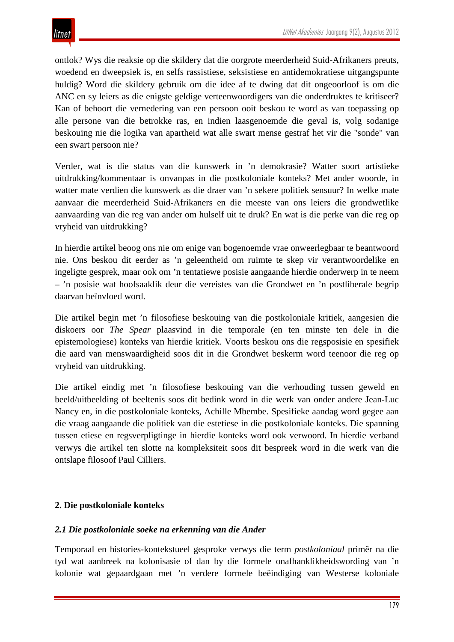ontlok? Wys die reaksie op die skildery dat die oorgrote meerderheid Suid-Afrikaners preuts, woedend en dweepsiek is, en selfs rassistiese, seksistiese en antidemokratiese uitgangspunte huldig? Word die skildery gebruik om die idee af te dwing dat dit ongeoorloof is om die ANC en sy leiers as die enigste geldige verteenwoordigers van die onderdruktes te kritiseer? Kan of behoort die vernedering van een persoon ooit beskou te word as van toepassing op alle persone van die betrokke ras, en indien laasgenoemde die geval is, volg sodanige beskouing nie die logika van apartheid wat alle swart mense gestraf het vir die "sonde" van een swart persoon nie?

Verder, wat is die status van die kunswerk in 'n demokrasie? Watter soort artistieke uitdrukking/kommentaar is onvanpas in die postkoloniale konteks? Met ander woorde, in watter mate verdien die kunswerk as die draer van 'n sekere politiek sensuur? In welke mate aanvaar die meerderheid Suid-Afrikaners en die meeste van ons leiers die grondwetlike aanvaarding van die reg van ander om hulself uit te druk? En wat is die perke van die reg op vryheid van uitdrukking?

In hierdie artikel beoog ons nie om enige van bogenoemde vrae onweerlegbaar te beantwoord nie. Ons beskou dit eerder as 'n geleentheid om ruimte te skep vir verantwoordelike en ingeligte gesprek, maar ook om 'n tentatiewe posisie aangaande hierdie onderwerp in te neem – 'n posisie wat hoofsaaklik deur die vereistes van die Grondwet en 'n postliberale begrip daarvan beïnvloed word.

Die artikel begin met 'n filosofiese beskouing van die postkoloniale kritiek, aangesien die diskoers oor *The Spear* plaasvind in die temporale (en ten minste ten dele in die epistemologiese) konteks van hierdie kritiek. Voorts beskou ons die regsposisie en spesifiek die aard van menswaardigheid soos dit in die Grondwet beskerm word teenoor die reg op vryheid van uitdrukking.

Die artikel eindig met 'n filosofiese beskouing van die verhouding tussen geweld en beeld/uitbeelding of beeltenis soos dit bedink word in die werk van onder andere Jean-Luc Nancy en, in die postkoloniale konteks, Achille Mbembe. Spesifieke aandag word gegee aan die vraag aangaande die politiek van die estetiese in die postkoloniale konteks. Die spanning tussen etiese en regsverpligtinge in hierdie konteks word ook verwoord. In hierdie verband verwys die artikel ten slotte na kompleksiteit soos dit bespreek word in die werk van die ontslape filosoof Paul Cilliers.

# **2. Die postkoloniale konteks**

### *2.1 Die postkoloniale soeke na erkenning van die Ander*

Temporaal en histories-kontekstueel gesproke verwys die term *postkoloniaal* primêr na die tyd wat aanbreek na kolonisasie of dan by die formele onafhanklikheidswording van 'n kolonie wat gepaardgaan met 'n verdere formele beëindiging van Westerse koloniale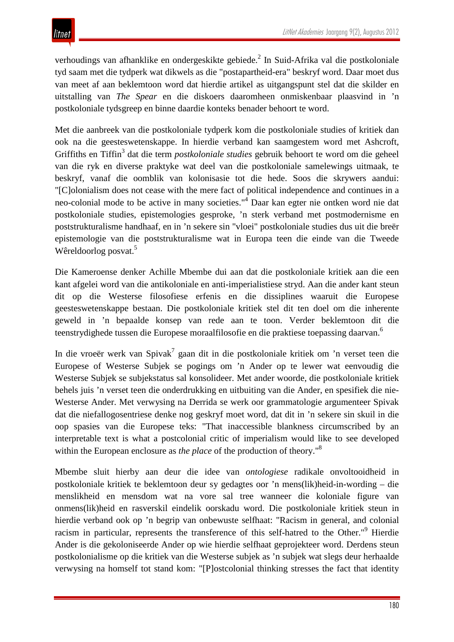verhoudings van afhanklike en ondergeskikte gebiede.<sup>2</sup> In Suid-Afrika val die postkoloniale tyd saam met die tydperk wat dikwels as die "postapartheid-era" beskryf word. Daar moet dus van meet af aan beklemtoon word dat hierdie artikel as uitgangspunt stel dat die skilder en uitstalling van *The Spear* en die diskoers daaromheen onmiskenbaar plaasvind in 'n postkoloniale tydsgreep en binne daardie konteks benader behoort te word.

Met die aanbreek van die postkoloniale tydperk kom die postkoloniale studies of kritiek dan ook na die geesteswetenskappe. In hierdie verband kan saamgestem word met Ashcroft, Griffiths en Tiffin<sup>3</sup> dat die term *postkoloniale studies* gebruik behoort te word om die geheel van die ryk en diverse praktyke wat deel van die postkoloniale samelewings uitmaak, te beskryf, vanaf die oomblik van kolonisasie tot die hede. Soos die skrywers aandui: "[C]olonialism does not cease with the mere fact of political independence and continues in a neo-colonial mode to be active in many societies."4 Daar kan egter nie ontken word nie dat postkoloniale studies, epistemologies gesproke, 'n sterk verband met postmodernisme en poststrukturalisme handhaaf, en in 'n sekere sin "vloei" postkoloniale studies dus uit die breër epistemologie van die poststrukturalisme wat in Europa teen die einde van die Tweede Wêreldoorlog posvat.<sup>5</sup>

Die Kameroense denker Achille Mbembe dui aan dat die postkoloniale kritiek aan die een kant afgelei word van die antikoloniale en anti-imperialistiese stryd. Aan die ander kant steun dit op die Westerse filosofiese erfenis en die dissiplines waaruit die Europese geesteswetenskappe bestaan. Die postkoloniale kritiek stel dit ten doel om die inherente geweld in 'n bepaalde konsep van rede aan te toon. Verder beklemtoon dit die teenstrydighede tussen die Europese moraalfilosofie en die praktiese toepassing daarvan.<sup>6</sup>

In die vroeër werk van Spivak<sup>7</sup> gaan dit in die postkoloniale kritiek om 'n verset teen die Europese of Westerse Subjek se pogings om 'n Ander op te lewer wat eenvoudig die Westerse Subjek se subjekstatus sal konsolideer. Met ander woorde, die postkoloniale kritiek behels juis 'n verset teen die onderdrukking en uitbuiting van die Ander, en spesifiek die nie-Westerse Ander. Met verwysing na Derrida se werk oor grammatologie argumenteer Spivak dat die niefallogosentriese denke nog geskryf moet word, dat dit in 'n sekere sin skuil in die oop spasies van die Europese teks: "That inaccessible blankness circumscribed by an interpretable text is what a postcolonial critic of imperialism would like to see developed within the European enclosure as *the place* of the production of theory.<sup>"8</sup>

Mbembe sluit hierby aan deur die idee van *ontologiese* radikale onvoltooidheid in postkoloniale kritiek te beklemtoon deur sy gedagtes oor 'n mens(lik)heid-in-wording – die menslikheid en mensdom wat na vore sal tree wanneer die koloniale figure van onmens(lik)heid en rasverskil eindelik oorskadu word. Die postkoloniale kritiek steun in hierdie verband ook op 'n begrip van onbewuste selfhaat: "Racism in general, and colonial racism in particular, represents the transference of this self-hatred to the Other."9 Hierdie Ander is die gekoloniseerde Ander op wie hierdie selfhaat geprojekteer word. Derdens steun postkolonialisme op die kritiek van die Westerse subjek as 'n subjek wat slegs deur herhaalde verwysing na homself tot stand kom: "[P]ostcolonial thinking stresses the fact that identity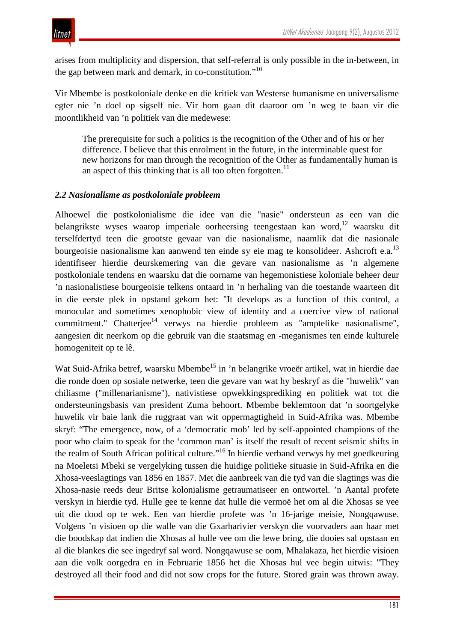arises from multiplicity and dispersion, that self-referral is only possible in the in-between, in the gap between mark and demark, in co-constitution."10

Vir Mbembe is postkoloniale denke en die kritiek van Westerse humanisme en universalisme egter nie 'n doel op sigself nie. Vir hom gaan dit daaroor om 'n weg te baan vir die moontlikheid van 'n politiek van die medewese:

The prerequisite for such a politics is the recognition of the Other and of his or her difference. I believe that this enrolment in the future, in the interminable quest for new horizons for man through the recognition of the Other as fundamentally human is an aspect of this thinking that is all too often forgotten.<sup>11</sup>

#### *2.2 Nasionalisme as postkoloniale probleem*

Alhoewel die postkolonialisme die idee van die "nasie" ondersteun as een van die belangrikste wyses waarop imperiale oorheersing teengestaan kan word,<sup>12</sup> waarsku dit terselfdertyd teen die grootste gevaar van die nasionalisme, naamlik dat die nasionale bourgeoisie nasionalisme kan aanwend ten einde sy eie mag te konsolideer. Ashcroft e.a.<sup>13</sup> identifiseer hierdie deurskemering van die gevare van nasionalisme as 'n algemene postkoloniale tendens en waarsku dat die oorname van hegemonistiese koloniale beheer deur 'n nasionalistiese bourgeoisie telkens ontaard in 'n herhaling van die toestande waarteen dit in die eerste plek in opstand gekom het: "It develops as a function of this control, a monocular and sometimes xenophobic view of identity and a coercive view of national commitment." Chatterjee<sup>14</sup> verwys na hierdie probleem as "amptelike nasionalisme", aangesien dit neerkom op die gebruik van die staatsmag en -meganismes ten einde kulturele homogeniteit op te lê.

Wat Suid-Afrika betref, waarsku Mbembe<sup>15</sup> in 'n belangrike vroeër artikel, wat in hierdie dae die ronde doen op sosiale netwerke, teen die gevare van wat hy beskryf as die "huwelik" van chiliasme ("millenarianisme"), nativistiese opwekkingsprediking en politiek wat tot die ondersteuningsbasis van president Zuma behoort. Mbembe beklemtoon dat 'n soortgelyke huwelik vir baie lank die ruggraat van wit oppermagtigheid in Suid-Afrika was. Mbembe skryf: "The emergence, now, of a 'democratic mob' led by self-appointed champions of the poor who claim to speak for the 'common man' is itself the result of recent seismic shifts in the realm of South African political culture."16 In hierdie verband verwys hy met goedkeuring na Moeletsi Mbeki se vergelyking tussen die huidige politieke situasie in Suid-Afrika en die Xhosa-veeslagtings van 1856 en 1857. Met die aanbreek van die tyd van die slagtings was die Xhosa-nasie reeds deur Britse kolonialisme getraumatiseer en ontwortel. 'n Aantal profete verskyn in hierdie tyd. Hulle gee te kenne dat hulle die vermoë het om al die Xhosas se vee uit die dood op te wek. Een van hierdie profete was 'n 16-jarige meisie, Nongqawuse. Volgens 'n visioen op die walle van die Gxarharivier verskyn die voorvaders aan haar met die boodskap dat indien die Xhosas al hulle vee om die lewe bring, die dooies sal opstaan en al die blankes die see ingedryf sal word. Nongqawuse se oom, Mhalakaza, het hierdie visioen aan die volk oorgedra en in Februarie 1856 het die Xhosas hul vee begin uitwis: "They destroyed all their food and did not sow crops for the future. Stored grain was thrown away.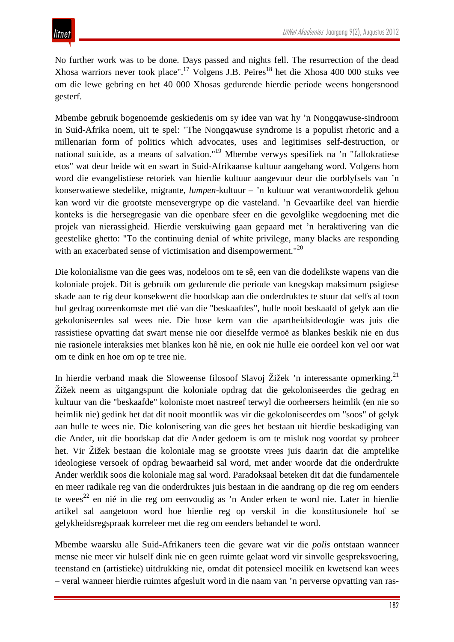No further work was to be done. Days passed and nights fell. The resurrection of the dead Xhosa warriors never took place".<sup>17</sup> Volgens J.B. Peires<sup>18</sup> het die Xhosa 400 000 stuks vee om die lewe gebring en het 40 000 Xhosas gedurende hierdie periode weens hongersnood gesterf.

Mbembe gebruik bogenoemde geskiedenis om sy idee van wat hy 'n Nongqawuse-sindroom in Suid-Afrika noem, uit te spel: "The Nongqawuse syndrome is a populist rhetoric and a millenarian form of politics which advocates, uses and legitimises self-destruction, or national suicide, as a means of salvation."19 Mbembe verwys spesifiek na 'n "fallokratiese etos" wat deur beide wit en swart in Suid-Afrikaanse kultuur aangehang word. Volgens hom word die evangelistiese retoriek van hierdie kultuur aangevuur deur die oorblyfsels van 'n konserwatiewe stedelike, migrante, *lumpen*-kultuur – 'n kultuur wat verantwoordelik gehou kan word vir die grootste mensevergrype op die vasteland. 'n Gevaarlike deel van hierdie konteks is die hersegregasie van die openbare sfeer en die gevolglike wegdoening met die projek van nierassigheid. Hierdie verskuiwing gaan gepaard met 'n heraktivering van die geestelike ghetto: "To the continuing denial of white privilege, many blacks are responding with an exacerbated sense of victimisation and disempowerment."<sup>20</sup>

Die kolonialisme van die gees was, nodeloos om te sê, een van die dodelikste wapens van die koloniale projek. Dit is gebruik om gedurende die periode van knegskap maksimum psigiese skade aan te rig deur konsekwent die boodskap aan die onderdruktes te stuur dat selfs al toon hul gedrag ooreenkomste met dié van die "beskaafdes", hulle nooit beskaafd of gelyk aan die gekoloniseerdes sal wees nie. Die bose kern van die apartheidsideologie was juis die rassistiese opvatting dat swart mense nie oor dieselfde vermoë as blankes beskik nie en dus nie rasionele interaksies met blankes kon hê nie, en ook nie hulle eie oordeel kon vel oor wat om te dink en hoe om op te tree nie.

In hierdie verband maak die Sloweense filosoof Slavoj Žižek 'n interessante opmerking.<sup>21</sup> Žižek neem as uitgangspunt die koloniale opdrag dat die gekoloniseerdes die gedrag en kultuur van die "beskaafde" koloniste moet nastreef terwyl die oorheersers heimlik (en nie so heimlik nie) gedink het dat dit nooit moontlik was vir die gekoloniseerdes om "soos" of gelyk aan hulle te wees nie. Die kolonisering van die gees het bestaan uit hierdie beskadiging van die Ander, uit die boodskap dat die Ander gedoem is om te misluk nog voordat sy probeer het. Vir Žižek bestaan die koloniale mag se grootste vrees juis daarin dat die amptelike ideologiese versoek of opdrag bewaarheid sal word, met ander woorde dat die onderdrukte Ander werklik soos die koloniale mag sal word. Paradoksaal beteken dit dat die fundamentele en meer radikale reg van die onderdruktes juis bestaan in die aandrang op die reg om eenders te wees<sup>22</sup> en nié in die reg om eenvoudig as 'n Ander erken te word nie. Later in hierdie artikel sal aangetoon word hoe hierdie reg op verskil in die konstitusionele hof se gelykheidsregspraak korreleer met die reg om eenders behandel te word.

Mbembe waarsku alle Suid-Afrikaners teen die gevare wat vir die *polis* ontstaan wanneer mense nie meer vir hulself dink nie en geen ruimte gelaat word vir sinvolle gespreksvoering, teenstand en (artistieke) uitdrukking nie, omdat dit potensieel moeilik en kwetsend kan wees – veral wanneer hierdie ruimtes afgesluit word in die naam van 'n perverse opvatting van ras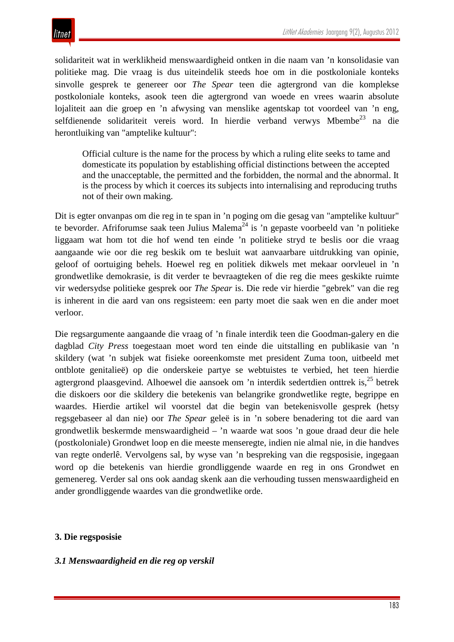solidariteit wat in werklikheid menswaardigheid ontken in die naam van 'n konsolidasie van politieke mag. Die vraag is dus uiteindelik steeds hoe om in die postkoloniale konteks sinvolle gesprek te genereer oor *The Spear* teen die agtergrond van die komplekse postkoloniale konteks, asook teen die agtergrond van woede en vrees waarin absolute lojaliteit aan die groep en 'n afwysing van menslike agentskap tot voordeel van 'n eng, selfdienende solidariteit vereis word. In hierdie verband verwys Mbembe<sup>23</sup> na die herontluiking van "amptelike kultuur":

Official culture is the name for the process by which a ruling elite seeks to tame and domesticate its population by establishing official distinctions between the accepted and the unacceptable, the permitted and the forbidden, the normal and the abnormal. It is the process by which it coerces its subjects into internalising and reproducing truths not of their own making.

Dit is egter onvanpas om die reg in te span in 'n poging om die gesag van "amptelike kultuur" te bevorder. Afriforumse saak teen Julius Malema<sup>24</sup> is 'n gepaste voorbeeld van 'n politieke liggaam wat hom tot die hof wend ten einde 'n politieke stryd te beslis oor die vraag aangaande wie oor die reg beskik om te besluit wat aanvaarbare uitdrukking van opinie, geloof of oortuiging behels. Hoewel reg en politiek dikwels met mekaar oorvleuel in 'n grondwetlike demokrasie, is dit verder te bevraagteken of die reg die mees geskikte ruimte vir wedersydse politieke gesprek oor *The Spear* is. Die rede vir hierdie "gebrek" van die reg is inherent in die aard van ons regsisteem: een party moet die saak wen en die ander moet verloor.

Die regsargumente aangaande die vraag of 'n finale interdik teen die Goodman-galery en die dagblad *City Press* toegestaan moet word ten einde die uitstalling en publikasie van 'n skildery (wat 'n subjek wat fisieke ooreenkomste met president Zuma toon, uitbeeld met ontblote genitalieë) op die onderskeie partye se webtuistes te verbied, het teen hierdie agtergrond plaasgevind. Alhoewel die aansoek om 'n interdik sedertdien onttrek is,  $25$  betrek die diskoers oor die skildery die betekenis van belangrike grondwetlike regte, begrippe en waardes. Hierdie artikel wil voorstel dat die begin van betekenisvolle gesprek (hetsy regsgebaseer al dan nie) oor *The Spear* geleë is in 'n sobere benadering tot die aard van grondwetlik beskermde menswaardigheid – 'n waarde wat soos 'n goue draad deur die hele (postkoloniale) Grondwet loop en die meeste menseregte, indien nie almal nie, in die handves van regte onderlê. Vervolgens sal, by wyse van 'n bespreking van die regsposisie, ingegaan word op die betekenis van hierdie grondliggende waarde en reg in ons Grondwet en gemenereg. Verder sal ons ook aandag skenk aan die verhouding tussen menswaardigheid en ander grondliggende waardes van die grondwetlike orde.

#### **3. Die regsposisie**

#### *3.1 Menswaardigheid en die reg op verskil*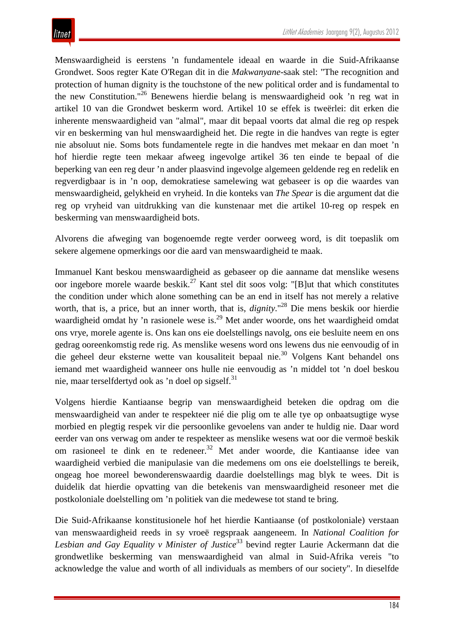Menswaardigheid is eerstens 'n fundamentele ideaal en waarde in die Suid-Afrikaanse Grondwet. Soos regter Kate O'Regan dit in die *Makwanyane*-saak stel: "The recognition and protection of human dignity is the touchstone of the new political order and is fundamental to the new Constitution."26 Benewens hierdie belang is menswaardigheid ook 'n reg wat in artikel 10 van die Grondwet beskerm word. Artikel 10 se effek is tweërlei: dit erken die inherente menswaardigheid van "almal", maar dit bepaal voorts dat almal die reg op respek vir en beskerming van hul menswaardigheid het. Die regte in die handves van regte is egter nie absoluut nie. Soms bots fundamentele regte in die handves met mekaar en dan moet 'n hof hierdie regte teen mekaar afweeg ingevolge artikel 36 ten einde te bepaal of die beperking van een reg deur 'n ander plaasvind ingevolge algemeen geldende reg en redelik en regverdigbaar is in 'n oop, demokratiese samelewing wat gebaseer is op die waardes van menswaardigheid, gelykheid en vryheid. In die konteks van *The Spear* is die argument dat die reg op vryheid van uitdrukking van die kunstenaar met die artikel 10-reg op respek en beskerming van menswaardigheid bots.

Alvorens die afweging van bogenoemde regte verder oorweeg word, is dit toepaslik om sekere algemene opmerkings oor die aard van menswaardigheid te maak.

Immanuel Kant beskou menswaardigheid as gebaseer op die aanname dat menslike wesens oor ingebore morele waarde beskik.<sup>27</sup> Kant stel dit soos volg: "[B]ut that which constitutes the condition under which alone something can be an end in itself has not merely a relative worth, that is, a price, but an inner worth, that is, *dignity*."<sup>28</sup> Die mens beskik oor hierdie waardigheid omdat hy 'n rasionele wese is.<sup>29</sup> Met ander woorde, ons het waardigheid omdat ons vrye, morele agente is. Ons kan ons eie doelstellings navolg, ons eie besluite neem en ons gedrag ooreenkomstig rede rig. As menslike wesens word ons lewens dus nie eenvoudig of in die geheel deur eksterne wette van kousaliteit bepaal nie.30 Volgens Kant behandel ons iemand met waardigheid wanneer ons hulle nie eenvoudig as 'n middel tot 'n doel beskou nie, maar terselfdertyd ook as 'n doel op sigself.<sup>31</sup>

Volgens hierdie Kantiaanse begrip van menswaardigheid beteken die opdrag om die menswaardigheid van ander te respekteer nié die plig om te alle tye op onbaatsugtige wyse morbied en plegtig respek vir die persoonlike gevoelens van ander te huldig nie. Daar word eerder van ons verwag om ander te respekteer as menslike wesens wat oor die vermoë beskik om rasioneel te dink en te redeneer.<sup>32</sup> Met ander woorde, die Kantiaanse idee van waardigheid verbied die manipulasie van die medemens om ons eie doelstellings te bereik, ongeag hoe moreel bewonderenswaardig daardie doelstellings mag blyk te wees. Dit is duidelik dat hierdie opvatting van die betekenis van menswaardigheid resoneer met die postkoloniale doelstelling om 'n politiek van die medewese tot stand te bring.

Die Suid-Afrikaanse konstitusionele hof het hierdie Kantiaanse (of postkoloniale) verstaan van menswaardigheid reeds in sy vroeë regspraak aangeneem. In *National Coalition for*  Lesbian and Gay Equality v Minister of Justice<sup>33</sup> bevind regter Laurie Ackermann dat die grondwetlike beskerming van menswaardigheid van almal in Suid-Afrika vereis "to acknowledge the value and worth of all individuals as members of our society". In dieselfde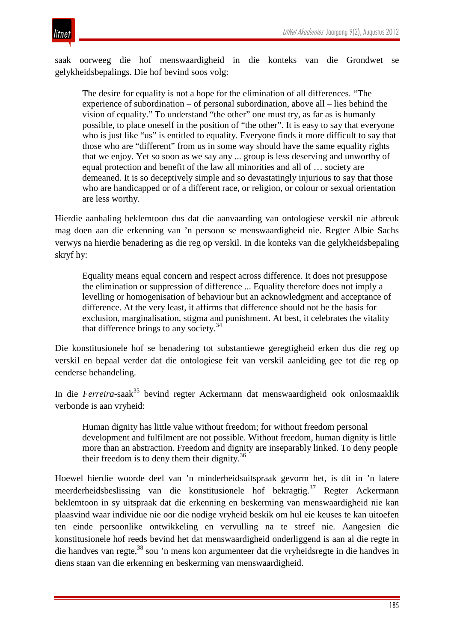

saak oorweeg die hof menswaardigheid in die konteks van die Grondwet se gelykheidsbepalings. Die hof bevind soos volg:

The desire for equality is not a hope for the elimination of all differences. "The experience of subordination – of personal subordination, above all – lies behind the vision of equality." To understand "the other" one must try, as far as is humanly possible, to place oneself in the position of "the other". It is easy to say that everyone who is just like "us" is entitled to equality. Everyone finds it more difficult to say that those who are "different" from us in some way should have the same equality rights that we enjoy. Yet so soon as we say any ... group is less deserving and unworthy of equal protection and benefit of the law all minorities and all of … society are demeaned. It is so deceptively simple and so devastatingly injurious to say that those who are handicapped or of a different race, or religion, or colour or sexual orientation are less worthy.

Hierdie aanhaling beklemtoon dus dat die aanvaarding van ontologiese verskil nie afbreuk mag doen aan die erkenning van 'n persoon se menswaardigheid nie. Regter Albie Sachs verwys na hierdie benadering as die reg op verskil. In die konteks van die gelykheidsbepaling skryf hy:

Equality means equal concern and respect across difference. It does not presuppose the elimination or suppression of difference ... Equality therefore does not imply a levelling or homogenisation of behaviour but an acknowledgment and acceptance of difference. At the very least, it affirms that difference should not be the basis for exclusion, marginalisation, stigma and punishment. At best, it celebrates the vitality that difference brings to any society. $34$ 

Die konstitusionele hof se benadering tot substantiewe geregtigheid erken dus die reg op verskil en bepaal verder dat die ontologiese feit van verskil aanleiding gee tot die reg op eenderse behandeling.

In die *Ferreira*-saak<sup>35</sup> bevind regter Ackermann dat menswaardigheid ook onlosmaaklik verbonde is aan vryheid:

Human dignity has little value without freedom; for without freedom personal development and fulfilment are not possible. Without freedom, human dignity is little more than an abstraction. Freedom and dignity are inseparably linked. To deny people their freedom is to deny them their dignity. $36$ 

Hoewel hierdie woorde deel van 'n minderheidsuitspraak gevorm het, is dit in 'n latere meerderheidsbeslissing van die konstitusionele hof bekragtig.37 Regter Ackermann beklemtoon in sy uitspraak dat die erkenning en beskerming van menswaardigheid nie kan plaasvind waar individue nie oor die nodige vryheid beskik om hul eie keuses te kan uitoefen ten einde persoonlike ontwikkeling en vervulling na te streef nie. Aangesien die konstitusionele hof reeds bevind het dat menswaardigheid onderliggend is aan al die regte in die handves van regte,<sup>38</sup> sou 'n mens kon argumenteer dat die vryheidsregte in die handves in diens staan van die erkenning en beskerming van menswaardigheid.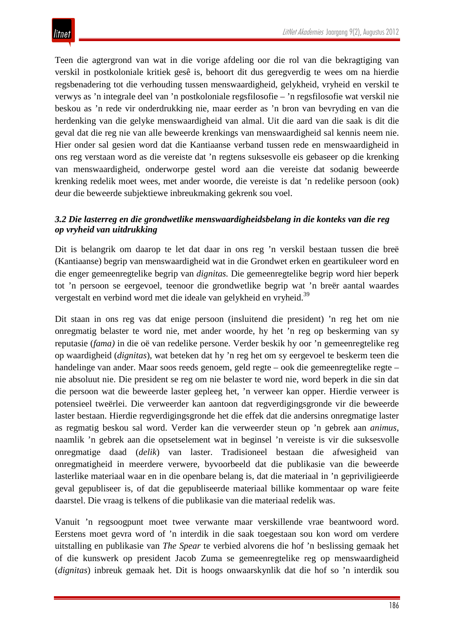Teen die agtergrond van wat in die vorige afdeling oor die rol van die bekragtiging van verskil in postkoloniale kritiek gesê is, behoort dit dus geregverdig te wees om na hierdie regsbenadering tot die verhouding tussen menswaardigheid, gelykheid, vryheid en verskil te verwys as 'n integrale deel van 'n postkoloniale regsfilosofie – 'n regsfilosofie wat verskil nie beskou as 'n rede vir onderdrukking nie, maar eerder as 'n bron van bevryding en van die herdenking van die gelyke menswaardigheid van almal. Uit die aard van die saak is dit die geval dat die reg nie van alle beweerde krenkings van menswaardigheid sal kennis neem nie. Hier onder sal gesien word dat die Kantiaanse verband tussen rede en menswaardigheid in ons reg verstaan word as die vereiste dat 'n regtens suksesvolle eis gebaseer op die krenking van menswaardigheid, onderworpe gestel word aan die vereiste dat sodanig beweerde krenking redelik moet wees, met ander woorde, die vereiste is dat 'n redelike persoon (ook) deur die beweerde subjektiewe inbreukmaking gekrenk sou voel.

#### *3.2 Die lasterreg en die grondwetlike menswaardigheidsbelang in die konteks van die reg op vryheid van uitdrukking*

Dit is belangrik om daarop te let dat daar in ons reg 'n verskil bestaan tussen die breë (Kantiaanse) begrip van menswaardigheid wat in die Grondwet erken en geartikuleer word en die enger gemeenregtelike begrip van *dignitas.* Die gemeenregtelike begrip word hier beperk tot 'n persoon se eergevoel, teenoor die grondwetlike begrip wat 'n breër aantal waardes vergestalt en verbind word met die ideale van gelykheid en vryheid.39

Dit staan in ons reg vas dat enige persoon (insluitend die president) 'n reg het om nie onregmatig belaster te word nie, met ander woorde, hy het 'n reg op beskerming van sy reputasie (*fama)* in die oë van redelike persone. Verder beskik hy oor 'n gemeenregtelike reg op waardigheid (*dignitas*), wat beteken dat hy 'n reg het om sy eergevoel te beskerm teen die handelinge van ander. Maar soos reeds genoem, geld regte – ook die gemeenregtelike regte – nie absoluut nie. Die president se reg om nie belaster te word nie, word beperk in die sin dat die persoon wat die beweerde laster gepleeg het, 'n verweer kan opper. Hierdie verweer is potensieel tweërlei. Die verweerder kan aantoon dat regverdigingsgronde vir die beweerde laster bestaan. Hierdie regverdigingsgronde het die effek dat die andersins onregmatige laster as regmatig beskou sal word. Verder kan die verweerder steun op 'n gebrek aan *animus*, naamlik 'n gebrek aan die opsetselement wat in beginsel 'n vereiste is vir die suksesvolle onregmatige daad (*delik*) van laster. Tradisioneel bestaan die afwesigheid van onregmatigheid in meerdere verwere, byvoorbeeld dat die publikasie van die beweerde lasterlike materiaal waar en in die openbare belang is, dat die materiaal in 'n gepriviligieerde geval gepubliseer is, of dat die gepubliseerde materiaal billike kommentaar op ware feite daarstel. Die vraag is telkens of die publikasie van die materiaal redelik was.

Vanuit 'n regsoogpunt moet twee verwante maar verskillende vrae beantwoord word. Eerstens moet gevra word of 'n interdik in die saak toegestaan sou kon word om verdere uitstalling en publikasie van *The Spear* te verbied alvorens die hof 'n beslissing gemaak het of die kunswerk op president Jacob Zuma se gemeenregtelike reg op menswaardigheid (*dignitas*) inbreuk gemaak het. Dit is hoogs onwaarskynlik dat die hof so 'n interdik sou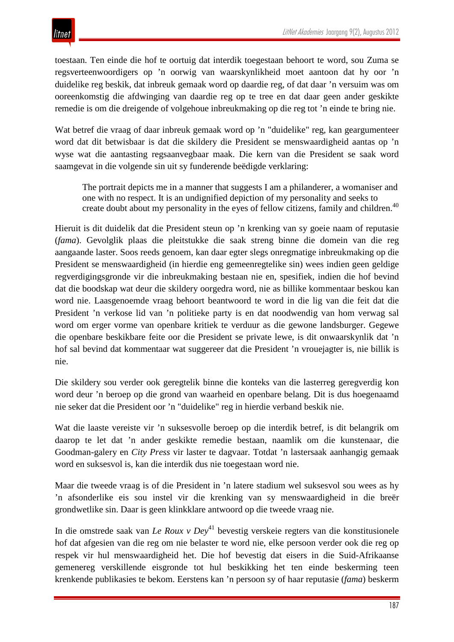toestaan. Ten einde die hof te oortuig dat interdik toegestaan behoort te word, sou Zuma se regsverteenwoordigers op 'n oorwig van waarskynlikheid moet aantoon dat hy oor 'n duidelike reg beskik, dat inbreuk gemaak word op daardie reg, of dat daar 'n versuim was om ooreenkomstig die afdwinging van daardie reg op te tree en dat daar geen ander geskikte remedie is om die dreigende of volgehoue inbreukmaking op die reg tot 'n einde te bring nie.

Wat betref die vraag of daar inbreuk gemaak word op 'n "duidelike" reg, kan geargumenteer word dat dit betwisbaar is dat die skildery die President se menswaardigheid aantas op 'n wyse wat die aantasting regsaanvegbaar maak. Die kern van die President se saak word saamgevat in die volgende sin uit sy funderende beëdigde verklaring:

The portrait depicts me in a manner that suggests I am a philanderer, a womaniser and one with no respect. It is an undignified depiction of my personality and seeks to create doubt about my personality in the eyes of fellow citizens, family and children.<sup>40</sup>

Hieruit is dit duidelik dat die President steun op 'n krenking van sy goeie naam of reputasie (*fama*). Gevolglik plaas die pleitstukke die saak streng binne die domein van die reg aangaande laster. Soos reeds genoem, kan daar egter slegs onregmatige inbreukmaking op die President se menswaardigheid (in hierdie eng gemeenregtelike sin) wees indien geen geldige regverdigingsgronde vir die inbreukmaking bestaan nie en, spesifiek, indien die hof bevind dat die boodskap wat deur die skildery oorgedra word, nie as billike kommentaar beskou kan word nie. Laasgenoemde vraag behoort beantwoord te word in die lig van die feit dat die President 'n verkose lid van 'n politieke party is en dat noodwendig van hom verwag sal word om erger vorme van openbare kritiek te verduur as die gewone landsburger. Gegewe die openbare beskikbare feite oor die President se private lewe, is dit onwaarskynlik dat 'n hof sal bevind dat kommentaar wat suggereer dat die President 'n vrouejagter is, nie billik is nie.

Die skildery sou verder ook geregtelik binne die konteks van die lasterreg geregverdig kon word deur 'n beroep op die grond van waarheid en openbare belang. Dit is dus hoegenaamd nie seker dat die President oor 'n "duidelike" reg in hierdie verband beskik nie.

Wat die laaste vereiste vir 'n suksesvolle beroep op die interdik betref, is dit belangrik om daarop te let dat 'n ander geskikte remedie bestaan, naamlik om die kunstenaar, die Goodman-galery en *City Press* vir laster te dagvaar. Totdat 'n lastersaak aanhangig gemaak word en suksesvol is, kan die interdik dus nie toegestaan word nie.

Maar die tweede vraag is of die President in 'n latere stadium wel suksesvol sou wees as hy 'n afsonderlike eis sou instel vir die krenking van sy menswaardigheid in die breër grondwetlike sin. Daar is geen klinkklare antwoord op die tweede vraag nie.

In die omstrede saak van *Le Roux v Dey*<sup>41</sup> bevestig verskeie regters van die konstitusionele hof dat afgesien van die reg om nie belaster te word nie, elke persoon verder ook die reg op respek vir hul menswaardigheid het. Die hof bevestig dat eisers in die Suid-Afrikaanse gemenereg verskillende eisgronde tot hul beskikking het ten einde beskerming teen krenkende publikasies te bekom. Eerstens kan 'n persoon sy of haar reputasie (*fama*) beskerm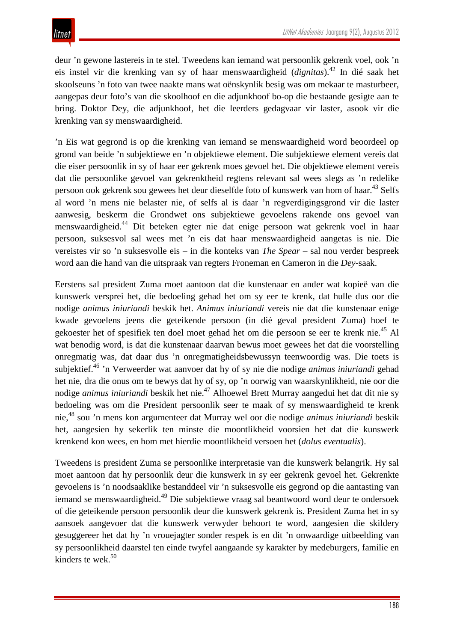deur 'n gewone lastereis in te stel. Tweedens kan iemand wat persoonlik gekrenk voel, ook 'n eis instel vir die krenking van sy of haar menswaardigheid (*dignitas*).<sup>42</sup> In dié saak het skoolseuns 'n foto van twee naakte mans wat oënskynlik besig was om mekaar te masturbeer, aangepas deur foto's van die skoolhoof en die adjunkhoof bo-op die bestaande gesigte aan te bring. Doktor Dey, die adjunkhoof, het die leerders gedagvaar vir laster, asook vir die krenking van sy menswaardigheid.

'n Eis wat gegrond is op die krenking van iemand se menswaardigheid word beoordeel op grond van beide 'n subjektiewe en 'n objektiewe element. Die subjektiewe element vereis dat die eiser persoonlik in sy of haar eer gekrenk moes gevoel het. Die objektiewe element vereis dat die persoonlike gevoel van gekrenktheid regtens relevant sal wees slegs as 'n redelike persoon ook gekrenk sou gewees het deur dieselfde foto of kunswerk van hom of haar.<sup>43</sup> Selfs al word 'n mens nie belaster nie, of selfs al is daar 'n regverdigingsgrond vir die laster aanwesig, beskerm die Grondwet ons subjektiewe gevoelens rakende ons gevoel van menswaardigheid.<sup>44</sup> Dit beteken egter nie dat enige persoon wat gekrenk voel in haar persoon, suksesvol sal wees met 'n eis dat haar menswaardigheid aangetas is nie. Die vereistes vir so 'n suksesvolle eis – in die konteks van *The Spear* – sal nou verder bespreek word aan die hand van die uitspraak van regters Froneman en Cameron in die *Dey*-saak.

Eerstens sal president Zuma moet aantoon dat die kunstenaar en ander wat kopieë van die kunswerk versprei het, die bedoeling gehad het om sy eer te krenk, dat hulle dus oor die nodige *animus iniuriandi* beskik het. *Animus iniuriandi* vereis nie dat die kunstenaar enige kwade gevoelens jeens die geteikende persoon (in dié geval president Zuma) hoef te gekoester het of spesifiek ten doel moet gehad het om die persoon se eer te krenk nie.<sup>45</sup> Al wat benodig word, is dat die kunstenaar daarvan bewus moet gewees het dat die voorstelling onregmatig was, dat daar dus 'n onregmatigheidsbewussyn teenwoordig was. Die toets is subjektief.46 'n Verweerder wat aanvoer dat hy of sy nie die nodige *animus iniuriandi* gehad het nie, dra die onus om te bewys dat hy of sy, op 'n oorwig van waarskynlikheid, nie oor die nodige *animus iniuriandi* beskik het nie.<sup>47</sup> Alhoewel Brett Murray aangedui het dat dit nie sy bedoeling was om die President persoonlik seer te maak of sy menswaardigheid te krenk nie,<sup>48</sup> sou 'n mens kon argumenteer dat Murray wel oor die nodige *animus iniuriandi* beskik het, aangesien hy sekerlik ten minste die moontlikheid voorsien het dat die kunswerk krenkend kon wees, en hom met hierdie moontlikheid versoen het (*dolus eventualis*).

Tweedens is president Zuma se persoonlike interpretasie van die kunswerk belangrik. Hy sal moet aantoon dat hy persoonlik deur die kunswerk in sy eer gekrenk gevoel het. Gekrenkte gevoelens is 'n noodsaaklike bestanddeel vir 'n suksesvolle eis gegrond op die aantasting van iemand se menswaardigheid.<sup>49</sup> Die subjektiewe vraag sal beantwoord word deur te ondersoek of die geteikende persoon persoonlik deur die kunswerk gekrenk is. President Zuma het in sy aansoek aangevoer dat die kunswerk verwyder behoort te word, aangesien die skildery gesuggereer het dat hy 'n vrouejagter sonder respek is en dit 'n onwaardige uitbeelding van sy persoonlikheid daarstel ten einde twyfel aangaande sy karakter by medeburgers, familie en kinders te wek. $50$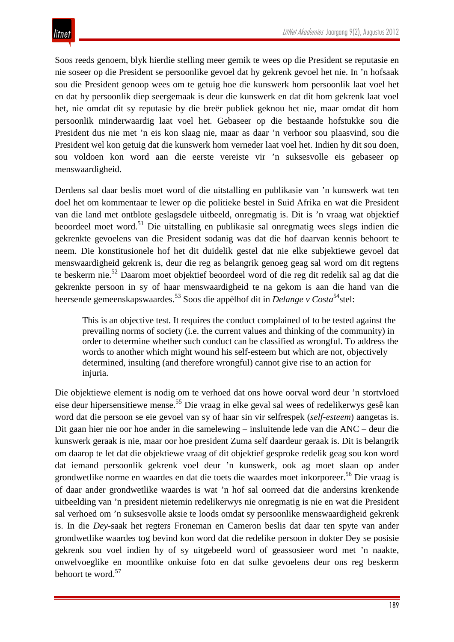Soos reeds genoem, blyk hierdie stelling meer gemik te wees op die President se reputasie en nie soseer op die President se persoonlike gevoel dat hy gekrenk gevoel het nie. In 'n hofsaak sou die President genoop wees om te getuig hoe die kunswerk hom persoonlik laat voel het en dat hy persoonlik diep seergemaak is deur die kunswerk en dat dit hom gekrenk laat voel het, nie omdat dit sy reputasie by die breër publiek geknou het nie, maar omdat dit hom persoonlik minderwaardig laat voel het. Gebaseer op die bestaande hofstukke sou die President dus nie met 'n eis kon slaag nie, maar as daar 'n verhoor sou plaasvind, sou die President wel kon getuig dat die kunswerk hom verneder laat voel het. Indien hy dit sou doen, sou voldoen kon word aan die eerste vereiste vir 'n suksesvolle eis gebaseer op menswaardigheid.

Derdens sal daar beslis moet word of die uitstalling en publikasie van 'n kunswerk wat ten doel het om kommentaar te lewer op die politieke bestel in Suid Afrika en wat die President van die land met ontblote geslagsdele uitbeeld, onregmatig is. Dit is 'n vraag wat objektief beoordeel moet word.51 Die uitstalling en publikasie sal onregmatig wees slegs indien die gekrenkte gevoelens van die President sodanig was dat die hof daarvan kennis behoort te neem. Die konstitusionele hof het dit duidelik gestel dat nie elke subjektiewe gevoel dat menswaardigheid gekrenk is, deur die reg as belangrik genoeg geag sal word om dit regtens te beskerm nie.<sup>52</sup> Daarom moet objektief beoordeel word of die reg dit redelik sal ag dat die gekrenkte persoon in sy of haar menswaardigheid te na gekom is aan die hand van die heersende gemeenskapswaardes.<sup>53</sup> Soos die appèlhof dit in *Delange v Costa*<sup>54</sup>stel:

This is an objective test. It requires the conduct complained of to be tested against the prevailing norms of society (i.e. the current values and thinking of the community) in order to determine whether such conduct can be classified as wrongful. To address the words to another which might wound his self-esteem but which are not, objectively determined, insulting (and therefore wrongful) cannot give rise to an action for injuria.

Die objektiewe element is nodig om te verhoed dat ons howe oorval word deur 'n stortvloed eise deur hipersensitiewe mense.55 Die vraag in elke geval sal wees of redelikerwys gesê kan word dat die persoon se eie gevoel van sy of haar sin vir selfrespek (*self-esteem*) aangetas is. Dit gaan hier nie oor hoe ander in die samelewing – insluitende lede van die ANC – deur die kunswerk geraak is nie, maar oor hoe president Zuma self daardeur geraak is. Dit is belangrik om daarop te let dat die objektiewe vraag of dit objektief gesproke redelik geag sou kon word dat iemand persoonlik gekrenk voel deur 'n kunswerk, ook ag moet slaan op ander grondwetlike norme en waardes en dat die toets die waardes moet inkorporeer.<sup>56</sup> Die vraag is of daar ander grondwetlike waardes is wat 'n hof sal oorreed dat die andersins krenkende uitbeelding van 'n president nietemin redelikerwys nie onregmatig is nie en wat die President sal verhoed om 'n suksesvolle aksie te loods omdat sy persoonlike menswaardigheid gekrenk is. In die *Dey*-saak het regters Froneman en Cameron beslis dat daar ten spyte van ander grondwetlike waardes tog bevind kon word dat die redelike persoon in dokter Dey se posisie gekrenk sou voel indien hy of sy uitgebeeld word of geassosieer word met 'n naakte, onwelvoeglike en moontlike onkuise foto en dat sulke gevoelens deur ons reg beskerm behoort te word.<sup>57</sup>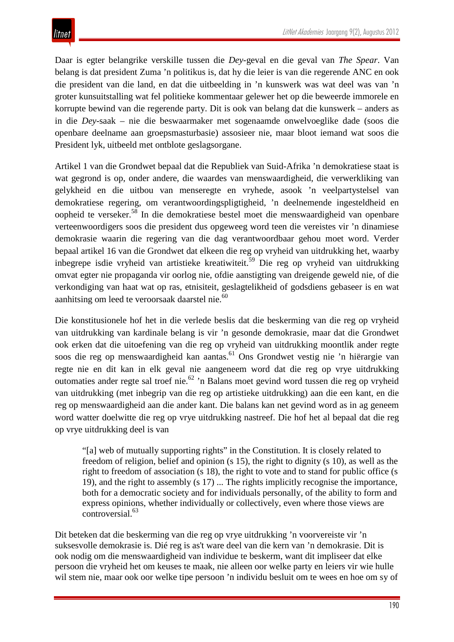Daar is egter belangrike verskille tussen die *Dey-*geval en die geval van *The Spear*. Van belang is dat president Zuma 'n politikus is, dat hy die leier is van die regerende ANC en ook die president van die land, en dat die uitbeelding in 'n kunswerk was wat deel was van 'n groter kunsuitstalling wat fel politieke kommentaar gelewer het op die beweerde immorele en korrupte bewind van die regerende party. Dit is ook van belang dat die kunswerk – anders as in die *Dey*-saak – nie die beswaarmaker met sogenaamde onwelvoeglike dade (soos die openbare deelname aan groepsmasturbasie) assosieer nie, maar bloot iemand wat soos die President lyk, uitbeeld met ontblote geslagsorgane.

Artikel 1 van die Grondwet bepaal dat die Republiek van Suid-Afrika 'n demokratiese staat is wat gegrond is op, onder andere, die waardes van menswaardigheid, die verwerkliking van gelykheid en die uitbou van menseregte en vryhede, asook 'n veelpartystelsel van demokratiese regering, om verantwoordingspligtigheid, 'n deelnemende ingesteldheid en oopheid te verseker.<sup>58</sup> In die demokratiese bestel moet die menswaardigheid van openbare verteenwoordigers soos die president dus opgeweeg word teen die vereistes vir 'n dinamiese demokrasie waarin die regering van die dag verantwoordbaar gehou moet word. Verder bepaal artikel 16 van die Grondwet dat elkeen die reg op vryheid van uitdrukking het, waarby inbegrepe isdie vryheid van artistieke kreatiwiteit.<sup>59</sup> Die reg op vryheid van uitdrukking omvat egter nie propaganda vir oorlog nie, ofdie aanstigting van dreigende geweld nie, of die verkondiging van haat wat op ras, etnisiteit, geslagtelikheid of godsdiens gebaseer is en wat aanhitsing om leed te veroorsaak daarstel nie.<sup>60</sup>

Die konstitusionele hof het in die verlede beslis dat die beskerming van die reg op vryheid van uitdrukking van kardinale belang is vir 'n gesonde demokrasie, maar dat die Grondwet ook erken dat die uitoefening van die reg op vryheid van uitdrukking moontlik ander regte soos die reg op menswaardigheid kan aantas.<sup>61</sup> Ons Grondwet vestig nie 'n hiërargie van regte nie en dit kan in elk geval nie aangeneem word dat die reg op vrye uitdrukking outomaties ander regte sal troef nie.62 'n Balans moet gevind word tussen die reg op vryheid van uitdrukking (met inbegrip van die reg op artistieke uitdrukking) aan die een kant, en die reg op menswaardigheid aan die ander kant. Die balans kan net gevind word as in ag geneem word watter doelwitte die reg op vrye uitdrukking nastreef. Die hof het al bepaal dat die reg op vrye uitdrukking deel is van

"[a] web of mutually supporting rights" in the Constitution. It is closely related to freedom of religion, belief and opinion (s 15), the right to dignity (s 10), as well as the right to freedom of association (s 18), the right to vote and to stand for public office (s 19), and the right to assembly (s 17) ... The rights implicitly recognise the importance, both for a democratic society and for individuals personally, of the ability to form and express opinions, whether individually or collectively, even where those views are controversial.<sup>63</sup>

Dit beteken dat die beskerming van die reg op vrye uitdrukking 'n voorvereiste vir 'n suksesvolle demokrasie is. Dié reg is as't ware deel van die kern van 'n demokrasie. Dit is ook nodig om die menswaardigheid van individue te beskerm, want dit impliseer dat elke persoon die vryheid het om keuses te maak, nie alleen oor welke party en leiers vir wie hulle wil stem nie, maar ook oor welke tipe persoon 'n individu besluit om te wees en hoe om sy of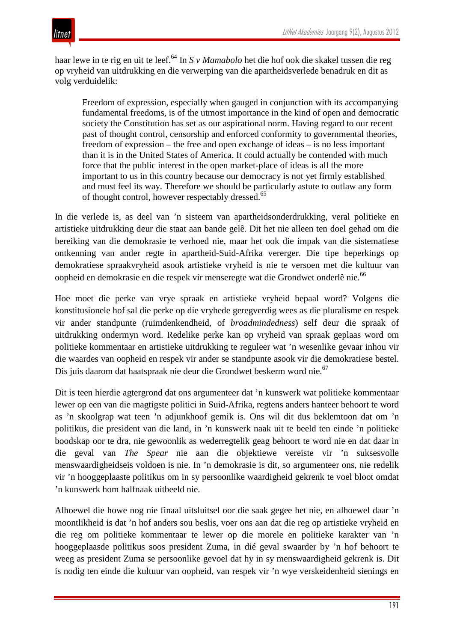haar lewe in te rig en uit te leef.64 In *S v Mamabolo* het die hof ook die skakel tussen die reg op vryheid van uitdrukking en die verwerping van die apartheidsverlede benadruk en dit as volg verduidelik:

Freedom of expression, especially when gauged in conjunction with its accompanying fundamental freedoms, is of the utmost importance in the kind of open and democratic society the Constitution has set as our aspirational norm. Having regard to our recent past of thought control, censorship and enforced conformity to governmental theories, freedom of expression – the free and open exchange of ideas – is no less important than it is in the United States of America. It could actually be contended with much force that the public interest in the open market-place of ideas is all the more important to us in this country because our democracy is not yet firmly established and must feel its way. Therefore we should be particularly astute to outlaw any form of thought control, however respectably dressed.<sup>65</sup>

In die verlede is, as deel van 'n sisteem van apartheidsonderdrukking, veral politieke en artistieke uitdrukking deur die staat aan bande gelê. Dit het nie alleen ten doel gehad om die bereiking van die demokrasie te verhoed nie, maar het ook die impak van die sistematiese ontkenning van ander regte in apartheid-Suid-Afrika vererger. Die tipe beperkings op demokratiese spraakvryheid asook artistieke vryheid is nie te versoen met die kultuur van oopheid en demokrasie en die respek vir menseregte wat die Grondwet onderlê nie.<sup>66</sup>

Hoe moet die perke van vrye spraak en artistieke vryheid bepaal word? Volgens die konstitusionele hof sal die perke op die vryhede geregverdig wees as die pluralisme en respek vir ander standpunte (ruimdenkendheid, of *broadmindedness*) self deur die spraak of uitdrukking ondermyn word. Redelike perke kan op vryheid van spraak geplaas word om politieke kommentaar en artistieke uitdrukking te reguleer wat 'n wesenlike gevaar inhou vir die waardes van oopheid en respek vir ander se standpunte asook vir die demokratiese bestel. Dis juis daarom dat haatspraak nie deur die Grondwet beskerm word nie.<sup>67</sup>

Dit is teen hierdie agtergrond dat ons argumenteer dat 'n kunswerk wat politieke kommentaar lewer op een van die magtigste politici in Suid-Afrika, regtens anders hanteer behoort te word as 'n skoolgrap wat teen 'n adjunkhoof gemik is. Ons wil dit dus beklemtoon dat om 'n politikus, die president van die land, in 'n kunswerk naak uit te beeld ten einde 'n politieke boodskap oor te dra, nie gewoonlik as wederregtelik geag behoort te word nie en dat daar in die geval van *The Spear* nie aan die objektiewe vereiste vir 'n suksesvolle menswaardigheidseis voldoen is nie. In 'n demokrasie is dit, so argumenteer ons, nie redelik vir 'n hooggeplaaste politikus om in sy persoonlike waardigheid gekrenk te voel bloot omdat 'n kunswerk hom halfnaak uitbeeld nie.

Alhoewel die howe nog nie finaal uitsluitsel oor die saak gegee het nie, en alhoewel daar 'n moontlikheid is dat 'n hof anders sou beslis, voer ons aan dat die reg op artistieke vryheid en die reg om politieke kommentaar te lewer op die morele en politieke karakter van 'n hooggeplaasde politikus soos president Zuma, in dié geval swaarder by 'n hof behoort te weeg as president Zuma se persoonlike gevoel dat hy in sy menswaardigheid gekrenk is. Dit is nodig ten einde die kultuur van oopheid, van respek vir 'n wye verskeidenheid sienings en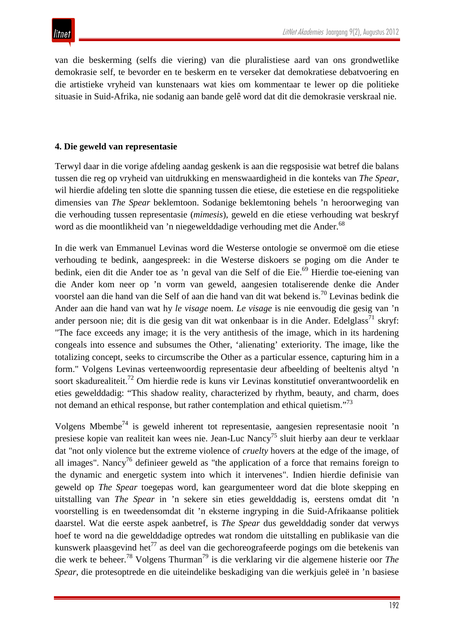van die beskerming (selfs die viering) van die pluralistiese aard van ons grondwetlike demokrasie self, te bevorder en te beskerm en te verseker dat demokratiese debatvoering en die artistieke vryheid van kunstenaars wat kies om kommentaar te lewer op die politieke situasie in Suid-Afrika, nie sodanig aan bande gelê word dat dit die demokrasie verskraal nie.

#### **4. Die geweld van representasie**

Terwyl daar in die vorige afdeling aandag geskenk is aan die regsposisie wat betref die balans tussen die reg op vryheid van uitdrukking en menswaardigheid in die konteks van *The Spear*, wil hierdie afdeling ten slotte die spanning tussen die etiese, die estetiese en die regspolitieke dimensies van *The Spear* beklemtoon. Sodanige beklemtoning behels 'n heroorweging van die verhouding tussen representasie (*mimesis*), geweld en die etiese verhouding wat beskryf word as die moontlikheid van 'n niegewelddadige verhouding met die Ander.<sup>68</sup>

In die werk van Emmanuel Levinas word die Westerse ontologie se onvermoë om die etiese verhouding te bedink, aangespreek: in die Westerse diskoers se poging om die Ander te bedink, eien dit die Ander toe as 'n geval van die Self of die Eie.<sup>69</sup> Hierdie toe-eiening van die Ander kom neer op 'n vorm van geweld, aangesien totaliserende denke die Ander voorstel aan die hand van die Self of aan die hand van dit wat bekend is.70 Levinas bedink die Ander aan die hand van wat hy *le visage* noem. *Le visage* is nie eenvoudig die gesig van 'n ander persoon nie; dit is die gesig van dit wat onkenbaar is in die Ander. Edelglass<sup>71</sup> skryf: "The face exceeds any image; it is the very antithesis of the image, which in its hardening congeals into essence and subsumes the Other, 'alienating' exteriority. The image, like the totalizing concept, seeks to circumscribe the Other as a particular essence, capturing him in a form." Volgens Levinas verteenwoordig representasie deur afbeelding of beeltenis altyd 'n soort skadurealiteit.<sup>72</sup> Om hierdie rede is kuns vir Levinas konstitutief onverantwoordelik en eties gewelddadig: "This shadow reality, characterized by rhythm, beauty, and charm, does not demand an ethical response, but rather contemplation and ethical quietism."<sup>73</sup>

Volgens Mbembe<sup>74</sup> is geweld inherent tot representasie, aangesien representasie nooit 'n presiese kopie van realiteit kan wees nie. Jean-Luc Nancy75 sluit hierby aan deur te verklaar dat "not only violence but the extreme violence of *cruelty* hovers at the edge of the image, of all images". Nancy<sup>76</sup> definieer geweld as "the application of a force that remains foreign to the dynamic and energetic system into which it intervenes". Indien hierdie definisie van geweld op *The Spear* toegepas word, kan geargumenteer word dat die blote skepping en uitstalling van *The Spear* in 'n sekere sin eties gewelddadig is, eerstens omdat dit 'n voorstelling is en tweedensomdat dit 'n eksterne ingryping in die Suid-Afrikaanse politiek daarstel. Wat die eerste aspek aanbetref, is *The Spear* dus gewelddadig sonder dat verwys hoef te word na die gewelddadige optredes wat rondom die uitstalling en publikasie van die kunswerk plaasgevind het<sup>77</sup> as deel van die gechoreografeerde pogings om die betekenis van die werk te beheer.78 Volgens Thurman79 is die verklaring vir die algemene histerie oor *The Spear*, die protesoptrede en die uiteindelike beskadiging van die werkjuis geleë in 'n basiese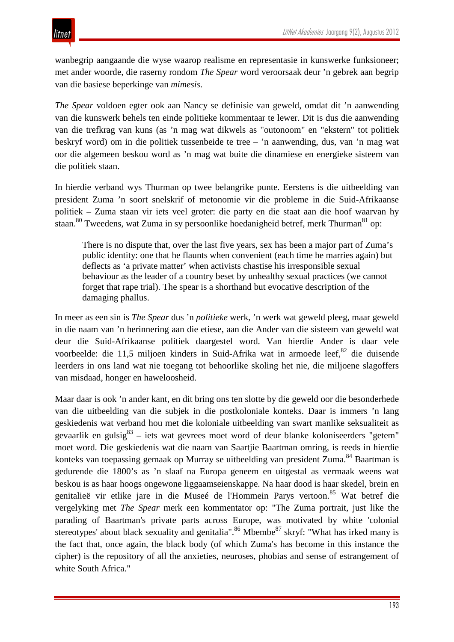wanbegrip aangaande die wyse waarop realisme en representasie in kunswerke funksioneer; met ander woorde, die raserny rondom *The Spear* word veroorsaak deur 'n gebrek aan begrip van die basiese beperkinge van *mimesis*.

*The Spear* voldoen egter ook aan Nancy se definisie van geweld, omdat dit 'n aanwending van die kunswerk behels ten einde politieke kommentaar te lewer. Dit is dus die aanwending van die trefkrag van kuns (as 'n mag wat dikwels as "outonoom" en "ekstern" tot politiek beskryf word) om in die politiek tussenbeide te tree – 'n aanwending, dus, van 'n mag wat oor die algemeen beskou word as 'n mag wat buite die dinamiese en energieke sisteem van die politiek staan.

In hierdie verband wys Thurman op twee belangrike punte. Eerstens is die uitbeelding van president Zuma 'n soort snelskrif of metonomie vir die probleme in die Suid-Afrikaanse politiek – Zuma staan vir iets veel groter: die party en die staat aan die hoof waarvan hy staan. $80$  Tweedens, wat Zuma in sy persoonlike hoedanigheid betref, merk Thurman $81$  op:

There is no dispute that, over the last five years, sex has been a major part of Zuma's public identity: one that he flaunts when convenient (each time he marries again) but deflects as 'a private matter' when activists chastise his irresponsible sexual behaviour as the leader of a country beset by unhealthy sexual practices (we cannot forget that rape trial). The spear is a shorthand but evocative description of the damaging phallus.

In meer as een sin is *The Spear* dus 'n *politieke* werk, 'n werk wat geweld pleeg, maar geweld in die naam van 'n herinnering aan die etiese, aan die Ander van die sisteem van geweld wat deur die Suid-Afrikaanse politiek daargestel word. Van hierdie Ander is daar vele voorbeelde: die 11,5 miljoen kinders in Suid-Afrika wat in armoede leef, $82$  die duisende leerders in ons land wat nie toegang tot behoorlike skoling het nie, die miljoene slagoffers van misdaad, honger en haweloosheid.

Maar daar is ook 'n ander kant, en dit bring ons ten slotte by die geweld oor die besonderhede van die uitbeelding van die subjek in die postkoloniale konteks. Daar is immers 'n lang geskiedenis wat verband hou met die koloniale uitbeelding van swart manlike seksualiteit as gevaarlik en gulsig $83$  – iets wat gevrees moet word of deur blanke koloniseerders "getem" moet word. Die geskiedenis wat die naam van Saartjie Baartman omring, is reeds in hierdie konteks van toepassing gemaak op Murray se uitbeelding van president Zuma.<sup>84</sup> Baartman is gedurende die 1800's as 'n slaaf na Europa geneem en uitgestal as vermaak weens wat beskou is as haar hoogs ongewone liggaamseienskappe. Na haar dood is haar skedel, brein en genitalieë vir etlike jare in die Museé de l'Hommein Parys vertoon.<sup>85</sup> Wat betref die vergelyking met *The Spear* merk een kommentator op: "The Zuma portrait, just like the parading of Baartman's private parts across Europe, was motivated by white 'colonial stereotypes' about black sexuality and genitalia".<sup>86</sup> Mbembe<sup>87</sup> skryf: "What has irked many is the fact that, once again, the black body (of which Zuma's has become in this instance the cipher) is the repository of all the anxieties, neuroses, phobias and sense of estrangement of white South Africa."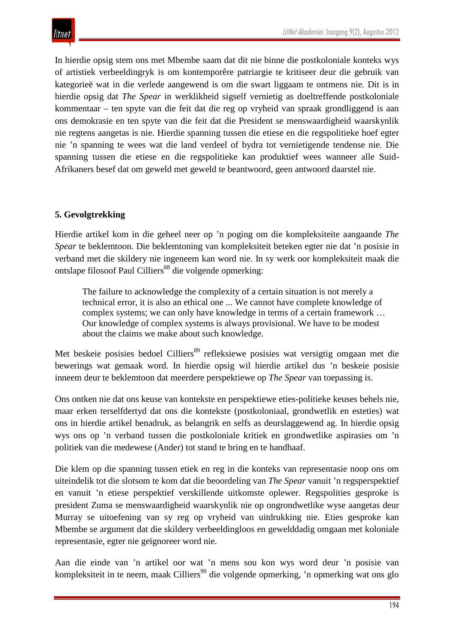In hierdie opsig stem ons met Mbembe saam dat dit nie binne die postkoloniale konteks wys of artistiek verbeeldingryk is om kontemporêre patriargie te kritiseer deur die gebruik van kategorieë wat in die verlede aangewend is om die swart liggaam te ontmens nie. Dit is in hierdie opsig dat *The Spear* in werklikheid sigself vernietig as doeltreffende postkoloniale kommentaar – ten spyte van die feit dat die reg op vryheid van spraak grondliggend is aan ons demokrasie en ten spyte van die feit dat die President se menswaardigheid waarskynlik nie regtens aangetas is nie. Hierdie spanning tussen die etiese en die regspolitieke hoef egter nie 'n spanning te wees wat die land verdeel of bydra tot vernietigende tendense nie. Die spanning tussen die etiese en die regspolitieke kan produktief wees wanneer alle Suid-Afrikaners besef dat om geweld met geweld te beantwoord, geen antwoord daarstel nie.

## **5. Gevolgtrekking**

Hierdie artikel kom in die geheel neer op 'n poging om die kompleksiteite aangaande *The Spear* te beklemtoon. Die beklemtoning van kompleksiteit beteken egter nie dat 'n posisie in verband met die skildery nie ingeneem kan word nie. In sy werk oor kompleksiteit maak die ontslape filosoof Paul Cilliers<sup>88</sup> die volgende opmerking:

The failure to acknowledge the complexity of a certain situation is not merely a technical error, it is also an ethical one ... We cannot have complete knowledge of complex systems; we can only have knowledge in terms of a certain framework … Our knowledge of complex systems is always provisional. We have to be modest about the claims we make about such knowledge.

Met beskeie posisies bedoel Cilliers<sup>89</sup> refleksiewe posisies wat versigtig omgaan met die bewerings wat gemaak word. In hierdie opsig wil hierdie artikel dus 'n beskeie posisie inneem deur te beklemtoon dat meerdere perspektiewe op *The Spear* van toepassing is.

Ons ontken nie dat ons keuse van kontekste en perspektiewe eties-politieke keuses behels nie, maar erken terselfdertyd dat ons die kontekste (postkoloniaal, grondwetlik en esteties) wat ons in hierdie artikel benadruk, as belangrik en selfs as deurslaggewend ag. In hierdie opsig wys ons op 'n verband tussen die postkoloniale kritiek en grondwetlike aspirasies om 'n politiek van die medewese (Ander) tot stand te bring en te handhaaf.

Die klem op die spanning tussen etiek en reg in die konteks van representasie noop ons om uiteindelik tot die slotsom te kom dat die beoordeling van *The Spear* vanuit 'n regsperspektief en vanuit 'n etiese perspektief verskillende uitkomste oplewer. Regspolities gesproke is president Zuma se menswaardigheid waarskynlik nie op ongrondwetlike wyse aangetas deur Murray se uitoefening van sy reg op vryheid van uitdrukking nie. Eties gesproke kan Mbembe se argument dat die skildery verbeeldingloos en gewelddadig omgaan met koloniale representasie, egter nie geïgnoreer word nie.

Aan die einde van 'n artikel oor wat 'n mens sou kon wys word deur 'n posisie van kompleksiteit in te neem, maak Cilliers<sup>90</sup> die volgende opmerking, 'n opmerking wat ons glo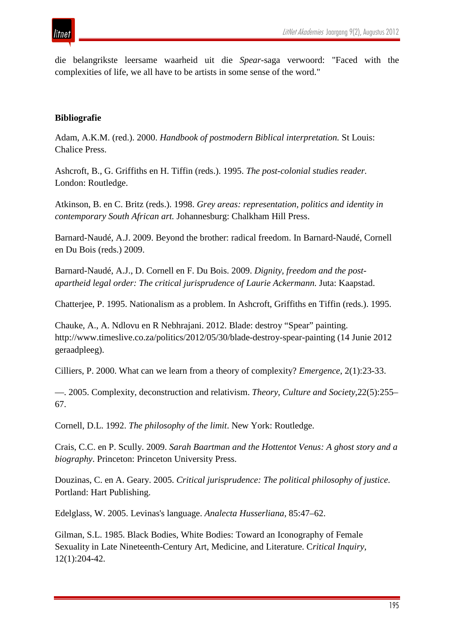die belangrikste leersame waarheid uit die *Spear*-saga verwoord: "Faced with the complexities of life, we all have to be artists in some sense of the word."

#### **Bibliografie**

Adam, A.K.M. (red.). 2000. *Handbook of postmodern Biblical interpretation.* St Louis: Chalice Press.

Ashcroft, B., G. Griffiths en H. Tiffin (reds.). 1995. *The post-colonial studies reader.*  London: Routledge.

Atkinson, B. en C. Britz (reds.). 1998. *Grey areas: representation, politics and identity in contemporary South African art.* Johannesburg: Chalkham Hill Press.

Barnard-Naudé, A.J. 2009. Beyond the brother: radical freedom. In Barnard-Naudé, Cornell en Du Bois (reds.) 2009.

Barnard-Naudé, A.J., D. Cornell en F. Du Bois. 2009. *Dignity, freedom and the postapartheid legal order: The critical jurisprudence of Laurie Ackermann.* Juta: Kaapstad.

Chatterjee, P. 1995. Nationalism as a problem. In Ashcroft, Griffiths en Tiffin (reds.). 1995.

Chauke, A., A. Ndlovu en R Nebhrajani. 2012. Blade: destroy "Spear" painting. http://www.timeslive.co.za/politics/2012/05/30/blade-destroy-spear-painting (14 Junie 2012 geraadpleeg).

Cilliers, P. 2000. What can we learn from a theory of complexity? *Emergence*, 2(1):23-33.

—. 2005. Complexity, deconstruction and relativism. *Theory, Culture and Society*,22(5):255– 67.

Cornell, D.L. 1992. *The philosophy of the limit*. New York: Routledge.

Crais, C.C. en P. Scully. 2009. *Sarah Baartman and the Hottentot Venus: A ghost story and a biography*. Princeton: Princeton University Press.

Douzinas, C. en A. Geary. 2005. *Critical jurisprudence: The political philosophy of justice*. Portland: Hart Publishing.

Edelglass, W. 2005. Levinas's language. *Analecta Husserliana,* 85:47–62.

Gilman, S.L. 1985. Black Bodies, White Bodies: Toward an Iconography of Female Sexuality in Late Nineteenth-Century Art, Medicine, and Literature. C*ritical Inquiry,* 12(1):204-42.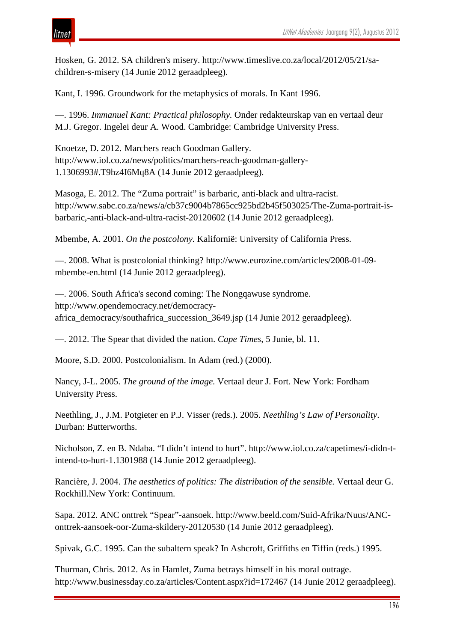# ıtnet

Hosken, G. 2012. SA children's misery. http://www.timeslive.co.za/local/2012/05/21/sachildren-s-misery (14 Junie 2012 geraadpleeg).

Kant, I. 1996. Groundwork for the metaphysics of morals. In Kant 1996.

—. 1996. *Immanuel Kant: Practical philosophy.* Onder redakteurskap van en vertaal deur M.J. Gregor. Ingelei deur A. Wood. Cambridge: Cambridge University Press.

Knoetze, D. 2012. Marchers reach Goodman Gallery. http://www.iol.co.za/news/politics/marchers-reach-goodman-gallery-1.1306993#.T9hz4I6Mq8A (14 Junie 2012 geraadpleeg).

Masoga, E. 2012. The "Zuma portrait" is barbaric, anti-black and ultra-racist. http://www.sabc.co.za/news/a/cb37c9004b7865cc925bd2b45f503025/The-Zuma-portrait-isbarbaric,-anti-black-and-ultra-racist-20120602 (14 Junie 2012 geraadpleeg).

Mbembe, A. 2001. *On the postcolony.* Kalifornië: University of California Press.

—. 2008. What is postcolonial thinking? http://www.eurozine.com/articles/2008-01-09 mbembe-en.html (14 Junie 2012 geraadpleeg).

—. 2006. South Africa's second coming: The Nongqawuse syndrome. http://www.opendemocracy.net/democracyafrica\_democracy/southafrica\_succession\_3649.jsp (14 Junie 2012 geraadpleeg).

—. 2012. The Spear that divided the nation. *Cape Times*, 5 Junie, bl. 11.

Moore, S.D. 2000. Postcolonialism. In Adam (red.) (2000).

Nancy, J-L. 2005. *The ground of the image.* Vertaal deur J. Fort. New York: Fordham University Press.

Neethling, J., J.M. Potgieter en P.J. Visser (reds.). 2005. *Neethling's Law of Personality*. Durban: Butterworths.

Nicholson, Z. en B. Ndaba. "I didn't intend to hurt". http://www.iol.co.za/capetimes/i-didn-tintend-to-hurt-1.1301988 (14 Junie 2012 geraadpleeg).

Rancière, J. 2004. *The aesthetics of politics: The distribution of the sensible.* Vertaal deur G. Rockhill.New York: Continuum*.* 

Sapa. 2012. ANC onttrek "Spear"-aansoek. http://www.beeld.com/Suid-Afrika/Nuus/ANConttrek-aansoek-oor-Zuma-skildery-20120530 (14 Junie 2012 geraadpleeg).

Spivak, G.C. 1995. Can the subaltern speak? In Ashcroft, Griffiths en Tiffin (reds.) 1995.

Thurman, Chris. 2012. As in Hamlet, Zuma betrays himself in his moral outrage. http://www.businessday.co.za/articles/Content.aspx?id=172467 (14 Junie 2012 geraadpleeg).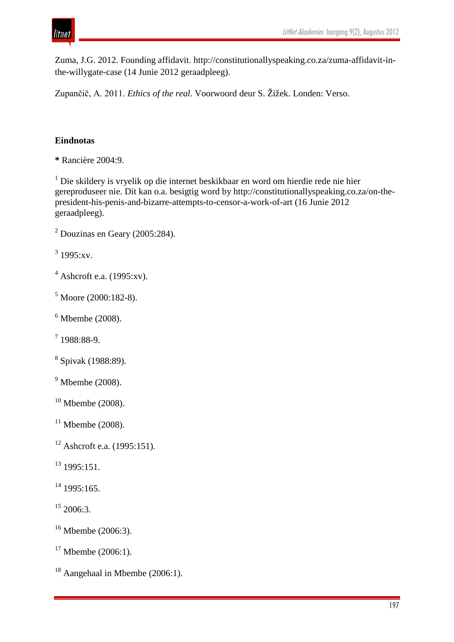

Zuma, J.G. 2012. Founding affidavit. http://constitutionallyspeaking.co.za/zuma-affidavit-inthe-willygate-case (14 Junie 2012 geraadpleeg).

Zupančič, A. 2011. *Ethics of the real*. Voorwoord deur S. Žižek. Londen: Verso.

# **Eindnotas**

**\*** Rancière 2004:9.

 Die skildery is vryelik op die internet beskikbaar en word om hierdie rede nie hier gereproduseer nie. Dit kan o.a. besigtig word by http://constitutionallyspeaking.co.za/on-thepresident-his-penis-and-bizarre-attempts-to-censor-a-work-of-art (16 Junie 2012 geraadpleeg).

 $3\,1995:xv.$ 

- Ashcroft e.a. (1995:xv).
- Moore (2000:182-8).
- Mbembe (2008).
- $71988:88-9.$
- Spivak (1988:89).
- Mbembe (2008).
- Mbembe (2008).
- Mbembe (2008).
- Ashcroft e.a. (1995:151).
- 1995:151.
- 1995:165.
- 2006:3.
- Mbembe (2006:3).
- Mbembe (2006:1).
- Aangehaal in Mbembe (2006:1).

Douzinas en Geary (2005:284).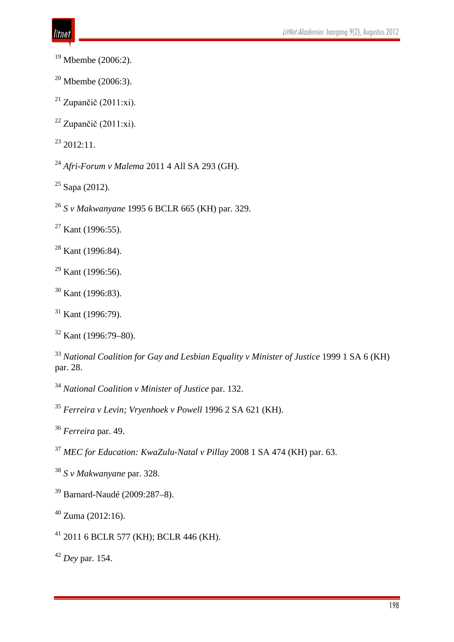- Mbembe (2006:2).
- Mbembe (2006:3).
- <sup>21</sup> Zupančič (2011:xi).
- <sup>22</sup> Zupančič (2011:xi).

2012:11.

- *Afri-Forum v Malema* 2011 4 All SA 293 (GH).
- Sapa (2012).
- *S v Makwanyane* 1995 6 BCLR 665 (KH) par. 329.
- Kant (1996:55).
- <sup>28</sup> Kant (1996:84).
- $^{29}$  Kant (1996:56).
- Kant (1996:83).
- Kant (1996:79).

- *National Coalition for Gay and Lesbian Equality v Minister of Justice* 1999 1 SA 6 (KH) par. 28.
- *National Coalition v Minister of Justice* par. 132.
- *Ferreira v Levin; Vryenhoek v Powell* 1996 2 SA 621 (KH).
- *Ferreira* par. 49.
- *MEC for Education: KwaZulu-Natal v Pillay* 2008 1 SA 474 (KH) par. 63.
- *S v Makwanyane* par. 328.
- Barnard-Naudé (2009:287–8).
- Zuma (2012:16).
- 2011 6 BCLR 577 (KH); BCLR 446 (KH).

*Dey* par. 154.

Kant (1996:79–80).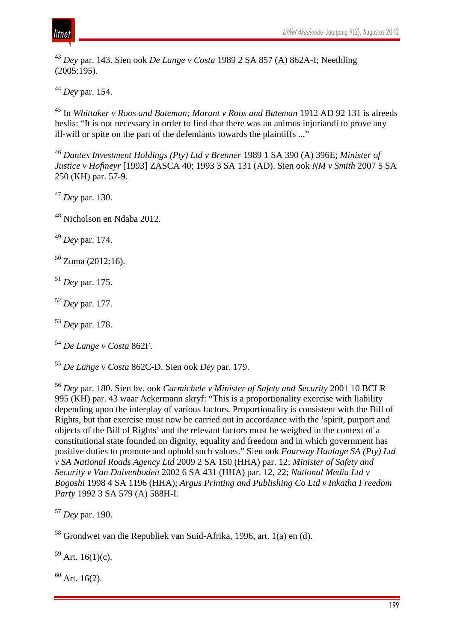

<sup>43</sup> *Dey* par. 143. Sien ook *De Lange v Costa* 1989 2 SA 857 (A) 862A-I; Neethling (2005:195).

<sup>44</sup> *Dey* par. 154.

<sup>45</sup> In *Whittaker v Roos and Bateman; Morant v Roos and Bateman* 1912 AD 92 131 is alreeds beslis: "It is not necessary in order to find that there was an animus injuriandi to prove any ill-will or spite on the part of the defendants towards the plaintiffs ..."

<sup>46</sup> *Dantex Investment Holdings (Pty) Ltd v Brenner* 1989 1 SA 390 (A) 396E; *Minister of Justice v Hofmeyr* [1993] ZASCA 40; 1993 3 SA 131 (AD). Sien ook *NM v Smith* 2007 5 SA 250 (KH) par. 57-9.

<sup>47</sup> *Dey* par. 130.

<sup>48</sup> Nicholson en Ndaba 2012.

<sup>49</sup> *Dey* par. 174.

 $50$  Zuma (2012:16).

<sup>51</sup> *Dey* par. 175.

<sup>52</sup> *Dey* par. 177.

<sup>53</sup> *Dey* par. 178.

<sup>54</sup> *De Lange v Costa* 862F.

<sup>55</sup> *De Lange v Costa* 862C-D. Sien ook *Dey* par. 179.

<sup>56</sup> *Dey* par. 180. Sien bv. ook *Carmichele v Minister of Safety and Security* 2001 10 BCLR 995 (KH) par. 43 waar Ackermann skryf: "This is a proportionality exercise with liability depending upon the interplay of various factors. Proportionality is consistent with the Bill of Rights, but that exercise must now be carried out in accordance with the 'spirit, purport and objects of the Bill of Rights' and the relevant factors must be weighed in the context of a constitutional state founded on dignity, equality and freedom and in which government has positive duties to promote and uphold such values." Sien ook *Fourway Haulage SA (Pty) Ltd v SA National Roads Agency Ltd* 2009 2 SA 150 (HHA) par. 12; *Minister of Safety and Security v Van Duivenboden* 2002 6 SA 431 (HHA) par. 12, 22; *National Media Ltd v Bogoshi* 1998 4 SA 1196 (HHA); *Argus Printing and Publishing Co Ltd v Inkatha Freedom Party* 1992 3 SA 579 (A) 588H-I.

<sup>58</sup> Grondwet van die Republiek van Suid-Afrika, 1996, art. 1(a) en (d).

 $59$  Art. 16(1)(c).

 $60$  Art. 16(2).

<sup>57</sup> *Dey* par. 190.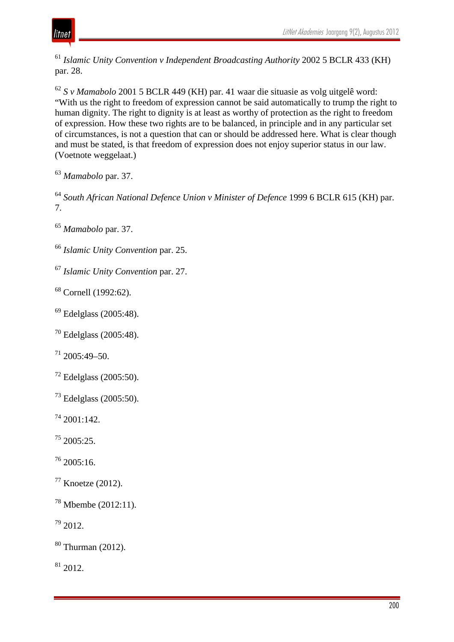

 *Islamic Unity Convention v Independent Broadcasting Authority* 2002 5 BCLR 433 (KH) par. 28.

 *S v Mamabolo* 2001 5 BCLR 449 (KH) par. 41 waar die situasie as volg uitgelê word: "With us the right to freedom of expression cannot be said automatically to trump the right to human dignity. The right to dignity is at least as worthy of protection as the right to freedom of expression. How these two rights are to be balanced, in principle and in any particular set of circumstances, is not a question that can or should be addressed here. What is clear though and must be stated, is that freedom of expression does not enjoy superior status in our law. (Voetnote weggelaat.)

*Mamabolo* par. 37.

 *South African National Defence Union v Minister of Defence* 1999 6 BCLR 615 (KH) par. 7.

*Mamabolo* par. 37.

*Islamic Unity Convention* par. 25.

*Islamic Unity Convention* par. 27.

<sup>68</sup> Cornell (1992:62).

Edelglass (2005:48).

Edelglass (2005:48).

 $^{71}$  2005:49-50.

Edelglass (2005:50).

Edelglass (2005:50).

2001:142.

2005:25.

2005:16.

Knoetze (2012).

Mbembe (2012:11).

2012.

Thurman (2012).

2012.